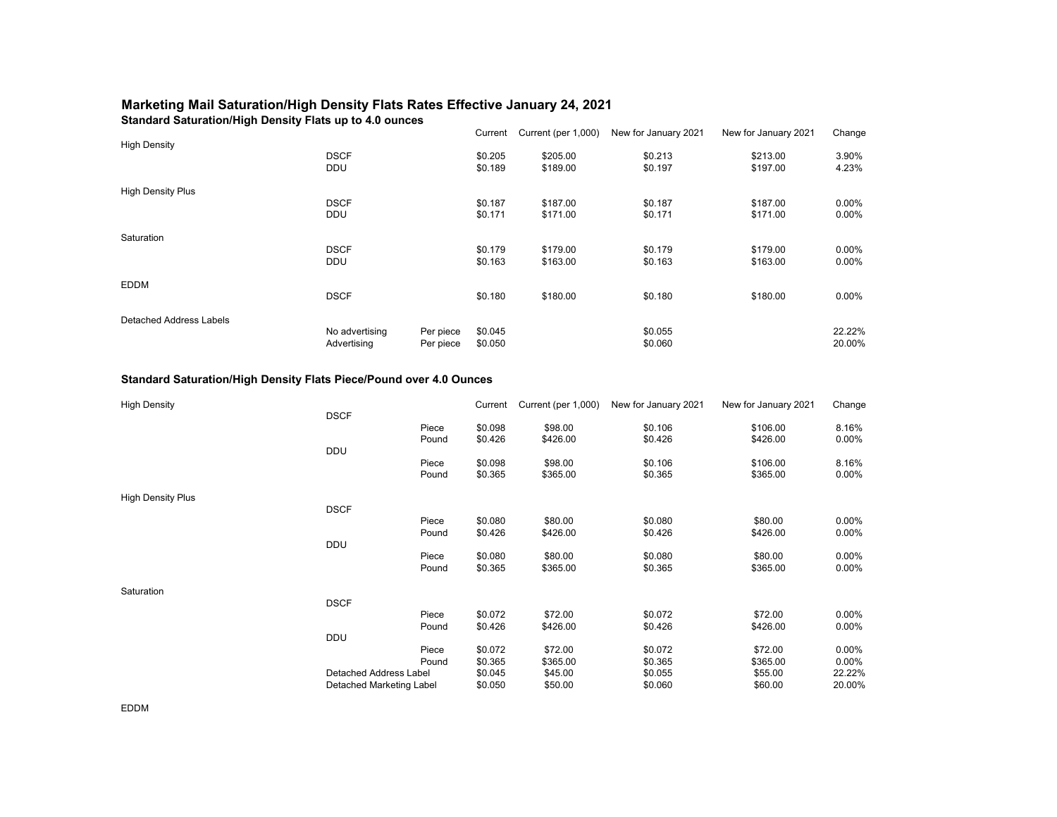## **Marketing Mail Saturation/High Density Flats Rates Effective January 24, 2021**

**Standard Saturation/High Density Flats up to 4.0 ounces**

|                          |                |           | Current | Current (per 1,000) | New for January 2021 | New for January 2021 | Change   |
|--------------------------|----------------|-----------|---------|---------------------|----------------------|----------------------|----------|
| <b>High Density</b>      |                |           |         |                     |                      |                      |          |
|                          | <b>DSCF</b>    |           | \$0.205 | \$205.00            | \$0.213              | \$213.00             | 3.90%    |
|                          | <b>DDU</b>     |           | \$0.189 | \$189.00            | \$0.197              | \$197.00             | 4.23%    |
| <b>High Density Plus</b> |                |           |         |                     |                      |                      |          |
|                          | <b>DSCF</b>    |           | \$0.187 | \$187.00            | \$0.187              | \$187.00             | $0.00\%$ |
|                          | <b>DDU</b>     |           | \$0.171 | \$171.00            | \$0.171              | \$171.00             | $0.00\%$ |
| Saturation               |                |           |         |                     |                      |                      |          |
|                          | <b>DSCF</b>    |           | \$0.179 | \$179.00            | \$0.179              | \$179.00             | 0.00%    |
|                          | <b>DDU</b>     |           | \$0.163 | \$163.00            | \$0.163              | \$163.00             | $0.00\%$ |
| <b>EDDM</b>              |                |           |         |                     |                      |                      |          |
|                          | <b>DSCF</b>    |           | \$0.180 | \$180.00            | \$0.180              | \$180.00             | $0.00\%$ |
| Detached Address Labels  |                |           |         |                     |                      |                      |          |
|                          | No advertising | Per piece | \$0.045 |                     | \$0.055              |                      | 22.22%   |
|                          | Advertising    | Per piece | \$0.050 |                     | \$0.060              |                      | 20.00%   |

## **Standard Saturation/High Density Flats Piece/Pound over 4.0 Ounces**

| <b>High Density</b>      |                               |       | Current | Current (per 1,000) | New for January 2021 | New for January 2021 | Change |
|--------------------------|-------------------------------|-------|---------|---------------------|----------------------|----------------------|--------|
|                          | <b>DSCF</b>                   |       |         |                     |                      |                      |        |
|                          |                               | Piece | \$0.098 | \$98.00             | \$0.106              | \$106.00             | 8.16%  |
|                          |                               | Pound | \$0.426 | \$426.00            | \$0.426              | \$426.00             | 0.00%  |
|                          | <b>DDU</b>                    |       |         |                     |                      |                      |        |
|                          |                               | Piece | \$0.098 | \$98.00             | \$0.106              | \$106.00             | 8.16%  |
|                          |                               | Pound | \$0.365 | \$365.00            | \$0.365              | \$365.00             | 0.00%  |
| <b>High Density Plus</b> |                               |       |         |                     |                      |                      |        |
|                          | <b>DSCF</b>                   |       |         |                     |                      |                      |        |
|                          |                               | Piece | \$0.080 | \$80.00             | \$0.080              | \$80.00              | 0.00%  |
|                          |                               | Pound | \$0.426 | \$426.00            | \$0.426              | \$426.00             | 0.00%  |
|                          | <b>DDU</b>                    |       |         |                     |                      |                      |        |
|                          |                               | Piece | \$0.080 | \$80.00             | \$0.080              | \$80.00              | 0.00%  |
|                          |                               | Pound | \$0.365 | \$365.00            | \$0.365              | \$365.00             | 0.00%  |
| Saturation               |                               |       |         |                     |                      |                      |        |
|                          | <b>DSCF</b>                   |       |         |                     |                      |                      |        |
|                          |                               | Piece | \$0.072 | \$72.00             | \$0.072              | \$72.00              | 0.00%  |
|                          |                               | Pound | \$0.426 | \$426.00            | \$0.426              | \$426.00             | 0.00%  |
|                          | <b>DDU</b>                    |       |         |                     |                      |                      |        |
|                          |                               | Piece | \$0.072 | \$72.00             | \$0.072              | \$72.00              | 0.00%  |
|                          |                               | Pound | \$0.365 | \$365.00            | \$0.365              | \$365.00             | 0.00%  |
|                          | <b>Detached Address Label</b> |       | \$0.045 | \$45.00             | \$0.055              | \$55.00              | 22.22% |
|                          | Detached Marketing Label      |       | \$0.050 | \$50.00             | \$0.060              | \$60.00              | 20.00% |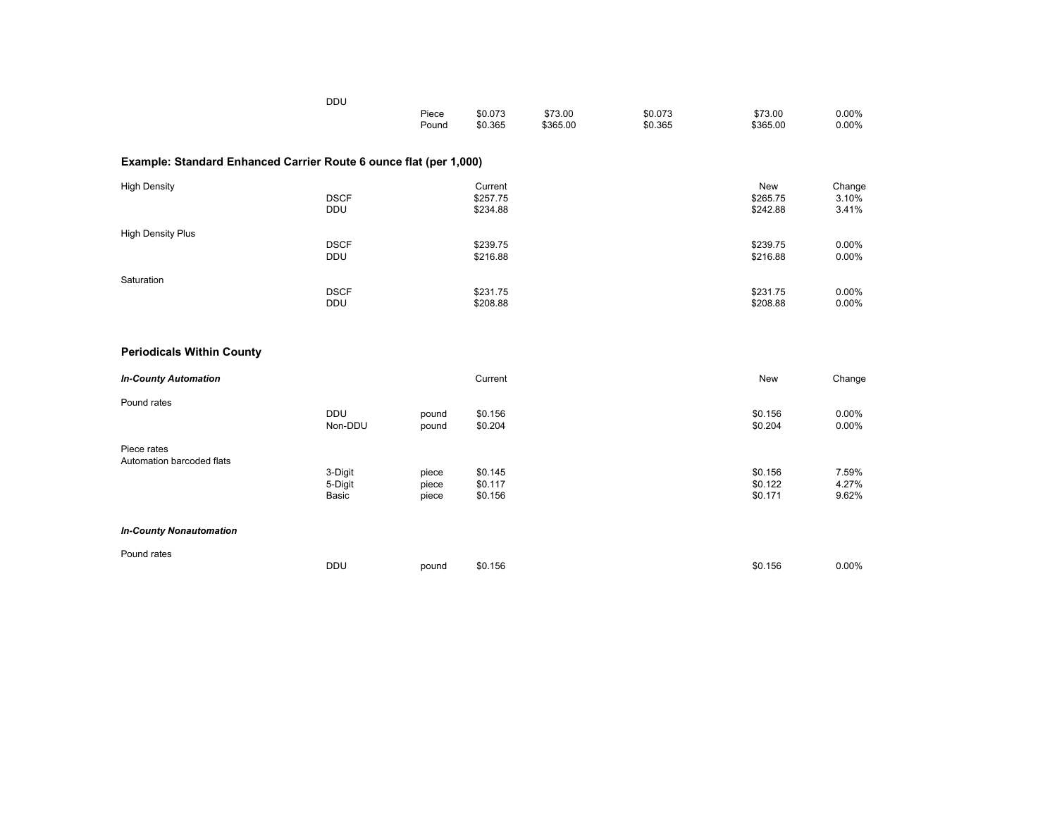|                                                                   | <b>DDU</b>                |                |                                 |                     |                    |                             |                          |
|-------------------------------------------------------------------|---------------------------|----------------|---------------------------------|---------------------|--------------------|-----------------------------|--------------------------|
|                                                                   |                           | Piece<br>Pound | \$0.073<br>\$0.365              | \$73.00<br>\$365.00 | \$0.073<br>\$0.365 | \$73.00<br>\$365.00         | 0.00%<br>0.00%           |
| Example: Standard Enhanced Carrier Route 6 ounce flat (per 1,000) |                           |                |                                 |                     |                    |                             |                          |
| <b>High Density</b>                                               | <b>DSCF</b><br><b>DDU</b> |                | Current<br>\$257.75<br>\$234.88 |                     |                    | New<br>\$265.75<br>\$242.88 | Change<br>3.10%<br>3.41% |
| <b>High Density Plus</b>                                          | <b>DSCF</b><br>DDU        |                | \$239.75<br>\$216.88            |                     |                    | \$239.75<br>\$216.88        | 0.00%<br>0.00%           |
| Saturation                                                        | <b>DSCF</b><br><b>DDU</b> |                | \$231.75<br>\$208.88            |                     |                    | \$231.75<br>\$208.88        | 0.00%<br>0.00%           |
| <b>Periodicals Within County</b>                                  |                           |                |                                 |                     |                    |                             |                          |
| <b>In-County Automation</b>                                       |                           |                | Current                         |                     |                    | <b>New</b>                  | Change                   |
| Pound rates                                                       | <b>DDU</b><br>Non-DDU     | pound<br>pound | \$0.156<br>\$0.204              |                     |                    | \$0.156<br>\$0.204          | 0.00%<br>0.00%           |
| Piece rates<br>Automation barcoded flats                          | 3-Digit                   | piece          | \$0.145                         |                     |                    | \$0.156                     | 7.59%                    |
|                                                                   | 5-Digit<br>Basic          | piece<br>piece | \$0.117<br>\$0.156              |                     |                    | \$0.122<br>\$0.171          | 4.27%<br>9.62%           |
| <b>In-County Nonautomation</b>                                    |                           |                |                                 |                     |                    |                             |                          |
| Pound rates                                                       | <b>DDU</b>                | pound          | \$0.156                         |                     |                    | \$0.156                     | 0.00%                    |